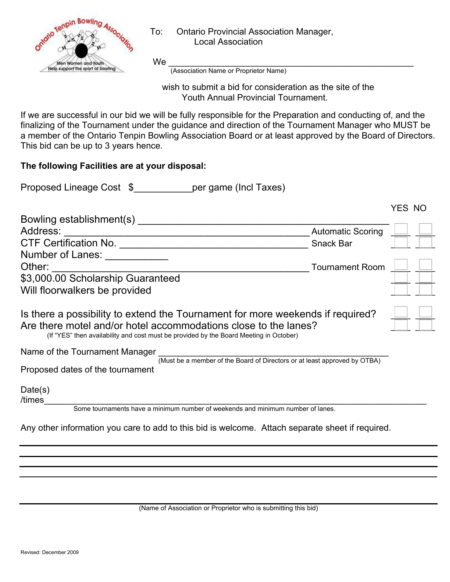

## To: Ontario Provincial Association Manager, Local Association

 wish to submit a bid for consideration as the site of the Youth Annual Provincial Tournament.

If we are successful in our bid we will be fully responsible for the Preparation and conducting of, and the finalizing of the Tournament under the guidance and direction of the Tournament Manager who MUST be a member of the Ontario Tenpin Bowling Association Board or at least approved by the Board of Directors. This bid can be up to 3 years hence.

## **The following Facilities are at your disposal:**

| Proposed Lineage Cost \$ |  | per game (Incl Taxes) |  |
|--------------------------|--|-----------------------|--|
|--------------------------|--|-----------------------|--|

|                                                                                                                                                                                                                                             |                          | YES NO |
|---------------------------------------------------------------------------------------------------------------------------------------------------------------------------------------------------------------------------------------------|--------------------------|--------|
| Bowling establishment(s)                                                                                                                                                                                                                    |                          |        |
| Address:                                                                                                                                                                                                                                    | <b>Automatic Scoring</b> |        |
| <b>CTF Certification No.</b>                                                                                                                                                                                                                | <b>Snack Bar</b>         |        |
| Number of Lanes:                                                                                                                                                                                                                            |                          |        |
| Other:                                                                                                                                                                                                                                      | <b>Tournament Room</b>   |        |
| \$3,000.00 Scholarship Guaranteed                                                                                                                                                                                                           |                          |        |
| Will floorwalkers be provided                                                                                                                                                                                                               |                          |        |
| Is there a possibility to extend the Tournament for more weekends if required?<br>Are there motel and/or hotel accommodations close to the lanes?<br>(If "YES" then availability and cost must be provided by the Board Meeting in October) |                          |        |
| Name of the Tournament Manager<br>(Must be a member of the Board of Directors or at least approved by OTBA)<br>Proposed dates of the tournament                                                                                             |                          |        |

Date(s)

/times\_\_\_\_\_\_\_\_\_\_\_\_\_\_\_\_\_\_\_\_\_\_\_\_\_\_\_\_\_\_\_\_\_\_\_\_\_\_\_\_\_\_\_\_\_\_\_\_\_\_\_\_\_\_\_\_\_\_\_\_\_\_\_\_\_\_\_\_\_\_\_\_\_\_\_\_\_\_ Some tournaments have a minimum number of weekends and minimum number of lanes.

Any other information you care to add to this bid is welcome. Attach separate sheet if required.

(Name of Association or Proprietor who is submitting this bid)